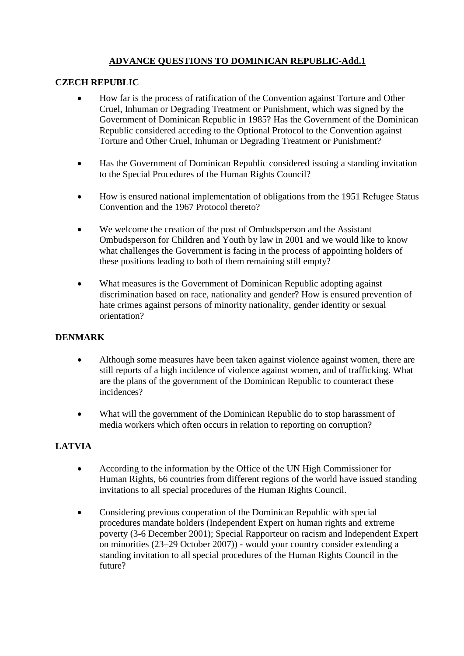# **ADVANCE QUESTIONS TO DOMINICAN REPUBLIC-Add.1**

### **CZECH REPUBLIC**

- How far is the process of ratification of the Convention against Torture and Other Cruel, Inhuman or Degrading Treatment or Punishment, which was signed by the Government of Dominican Republic in 1985? Has the Government of the Dominican Republic considered acceding to the Optional Protocol to the Convention against Torture and Other Cruel, Inhuman or Degrading Treatment or Punishment?
- Has the Government of Dominican Republic considered issuing a standing invitation to the Special Procedures of the Human Rights Council?
- How is ensured national implementation of obligations from the 1951 Refugee Status Convention and the 1967 Protocol thereto?
- We welcome the creation of the post of Ombudsperson and the Assistant Ombudsperson for Children and Youth by law in 2001 and we would like to know what challenges the Government is facing in the process of appointing holders of these positions leading to both of them remaining still empty?
- What measures is the Government of Dominican Republic adopting against discrimination based on race, nationality and gender? How is ensured prevention of hate crimes against persons of minority nationality, gender identity or sexual orientation?

#### **DENMARK**

- Although some measures have been taken against violence against women, there are still reports of a high incidence of violence against women, and of trafficking. What are the plans of the government of the Dominican Republic to counteract these incidences?
- What will the government of the Dominican Republic do to stop harassment of media workers which often occurs in relation to reporting on corruption?

## **LATVIA**

- According to the information by the Office of the UN High Commissioner for Human Rights, 66 countries from different regions of the world have issued standing invitations to all special procedures of the Human Rights Council.
- Considering previous cooperation of the Dominican Republic with special procedures mandate holders (Independent Expert on human rights and extreme poverty (3-6 December 2001); Special Rapporteur on racism and Independent Expert on minorities (23–29 October 2007)) - would your country consider extending a standing invitation to all special procedures of the Human Rights Council in the future?